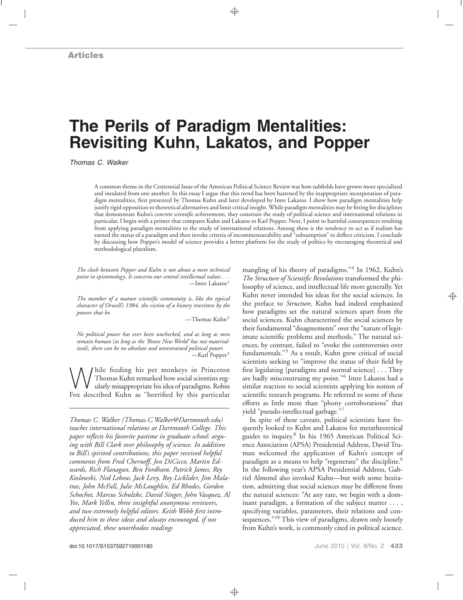# **The Perils of Paradigm Mentalities: Revisiting Kuhn, Lakatos, and Popper**

*Thomas C. Walker*

A common theme in the Centennial Issue of the American Political Science Review was how subfields have grown more specialized and insulated from one another. In this essay I argue that this trend has been hastened by the inappropriate incorporation of paradigm mentalities, first presented by Thomas Kuhn and later developed by Imre Lakatos. I show how paradigm mentalities help justify rigid opposition to theoretical alternatives and limit critical insight.While paradigm mentalities may be fitting for disciplines that demonstrate Kuhn's *concrete scientific achievements,* they constrain the study of political science and international relations in particular. I begin with a primer that compares Kuhn and Lakatos to Karl Popper. Next, I point to harmful consequences resulting from applying paradigm mentalities to the study of international relations. Among these is the tendency to act as if realism has earned the status of a paradigm and then invoke criteria of incommensurability and "subsumption" to deflect criticism. I conclude by discussing how Popper's model of science provides a better platform for the study of politics by encouraging theoretical and methodological pluralism.

*The clash between Popper and Kuhn is not about a mere technical* point in epistemology. It concerns our central intellectual values . . . —Imre Lakatos<sup>1</sup>

*The member of a mature scientific community is, like the typical character of Orwell's 1984, the victim of a history rewritten by the powers that be.*

—Thomas Kuhn<sup>2</sup>

*No political power has ever been unchecked, and as long as men remain human (as long as the 'Brave New World' has not materialized), there can be no absolute and unrestrained political power.* —Karl Popper<sup>3</sup>

hile feeding his pet monkeys in Princeton Thomas Kuhn remarked how social scientists regularly misappropriate his idea of paradigms. Robin Fox described Kuhn as "horrified by this particular

*Thomas C. Walker (Thomas.C.Walker@Dartmouth.edu) teaches international relations at Dartmouth College. This paper reflects his favorite pastime in graduate school: arguing with Bill Clark over philosophy of science. In addition to Bill's spirited contributions, this paper received helpful comments from Fred Chernoff, Jon DiCicco, Martin Edwards, Rich Flanagan, Ben Fordham, Patrick James, Rey Koslowski, Ned Lebow, Jack Levy, Roy Licklider, Jim Malatras, John McFall, Julie McLaughlin, Ed Rhodes, Gordon Schochet, Marcus Schulzke, David Singer, John Vasquez, Al Yee, Mark Yellin, three insightful anonymous reviewers, and two extremely helpful editors. Keith Webb first introduced him to these ideas and always encouraged, if not appreciated, these unorthodox readings*

mangling of his theory of paradigms."<sup>4</sup> In 1962, Kuhn's *The Structure of Scientific Revolutions* transformed the philosophy of science, and intellectual life more generally. Yet Kuhn never intended his ideas for the social sciences. In the preface to *Structure,* Kuhn had indeed emphasized how paradigms set the natural sciences apart from the social sciences. Kuhn characterized the social sciences by their fundamental "disagreements" over the "nature of legitimate scientific problems and methods." The natural sciences, by contrast, failed to "evoke the controversies over fundamentals."<sup>5</sup> As a result, Kuhn grew critical of social scientists seeking to "improve the status of their field by first legislating [paradigms and normal science] . . . They are badly misconstruing my point."<sup>6</sup> Imre Lakatos had a similar reaction to social scientists applying his notion of scientific research programs. He referred to some of these efforts as little more than "phony corroborations" that yield "pseudo-intellectual garbage."<sup>7</sup>

In spite of these caveats, political scientists have frequently looked to Kuhn and Lakatos for metatheoretical guides to inquiry.8 In his 1965 American Political Science Association (APSA) Presidential Address, David Truman welcomed the application of Kuhn's concept of paradigm as a means to help "regenerate" the discipline.<sup>9</sup> In the following year's APSA Presidential Address, Gabriel Almond also invoked Kuhn—but with some hesitation, admitting that social sciences may be different from the natural sciences: "At any rate, we begin with a dominant paradigm, a formation of the subject matter . . . , specifying variables, parameters, their relations and consequences."<sup>10</sup> This view of paradigms, drawn only loosely from Kuhn's work, is commonly cited in political science.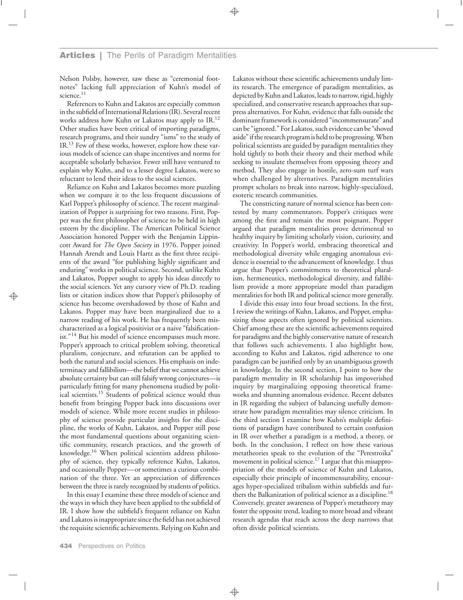Nelson Polsby, however, saw these as "ceremonial footnotes" lacking full appreciation of Kuhn's model of science.<sup>11</sup>

References to Kuhn and Lakatos are especially common in the subfield of International Relations (IR). Several recent works address how Kuhn or Lakatos may apply to IR.12 Other studies have been critical of importing paradigms, research programs, and their sundry "isms" to the study of IR.13 Few of these works, however, explore how these various models of science can shape incentives and norms for acceptable scholarly behavior. Fewer still have ventured to explain why Kuhn, and to a lesser degree Lakatos, were so reluctant to lend their ideas to the social sciences.

Reliance on Kuhn and Lakatos becomes more puzzling when we compare it to the less frequent discussions of Karl Popper's philosophy of science. The recent marginalization of Popper is surprising for two reasons. First, Popper was the first philosopher of science to be held in high esteem by the discipline. The American Political Science Association honored Popper with the Benjamin Lippincott Award for *The Open Society* in 1976. Popper joined Hannah Arendt and Louis Hartz as the first three recipients of the award "for publishing highly significant and enduring" works in political science. Second, unlike Kuhn and Lakatos, Popper sought to apply his ideas directly to the social sciences. Yet any cursory view of Ph.D. reading lists or citation indices show that Popper's philosophy of science has become overshadowed by those of Kuhn and Lakatos. Popper may have been marginalized due to a narrow reading of his work. He has frequently been mischaracterized as a logical positivist or a naive "falsificationist."<sup>14</sup> But his model of science encompasses much more. Popper's approach to critical problem solving, theoretical pluralism, conjecture, and refutation can be applied to both the natural and social sciences. His emphasis on indeterminacy and fallibilism—the belief that we cannot achieve absolute certainty but can still falsify wrong conjectures—is particularly fitting for many phenomena studied by political scientists.15 Students of political science would thus benefit from bringing Popper back into discussions over models of science. While more recent studies in philosophy of science provide particular insights for the discipline, the works of Kuhn, Lakatos, and Popper still pose the most fundamental questions about organizing scientific community, research practices, and the growth of knowledge.16 When political scientists address philosophy of science, they typically reference Kuhn, Lakatos, and occasionally Popper—or sometimes a curious combination of the three. Yet an appreciation of differences between the three is rarely recognized by students of politics.

In this essay I examine these three models of science and the ways in which they have been applied to the subfield of IR. I show how the subfield's frequent reliance on Kuhn and Lakatos is inappropriate since the field has not achieved the requisite scientific achievements. Relying on Kuhn and Lakatos without these scientific achievements unduly limits research. The emergence of paradigm mentalities, as depicted by Kuhn and Lakatos, leads to narrow, rigid, highly specialized, and conservative research approaches that suppress alternatives. For Kuhn, evidence that falls outside the dominant framework is considered "incommensurate" and can be "ignored." For Lakatos, such evidence can be "shoved aside"if the research programis held to be progressing.When political scientists are guided by paradigm mentalities they hold tightly to both their theory and their method while seeking to insulate themselves from opposing theory and method. They also engage in hostile, zero-sum turf wars when challenged by alternatives. Paradigm mentalities prompt scholars to break into narrow, highly-specialized, esoteric research communities.

The constricting nature of normal science has been contested by many commentators. Popper's critiques were among the first and remain the most poignant. Popper argued that paradigm mentalities prove detrimental to healthy inquiry by limiting scholarly vision, curiosity, and creativity. In Popper's world, embracing theoretical and methodological diversity while engaging anomalous evidence is essential to the advancement of knowledge. I thus argue that Popper's commitments to theoretical pluralism, hermeneutics, methodological diversity, and fallibilism provide a more appropriate model than paradigm mentalities for both IR and political science more generally.

I divide this essay into four broad sections. In the first, I review the writings of Kuhn, Lakatos, and Popper, emphasizing those aspects often ignored by political scientists. Chief among these are the scientific achievements required for paradigms and the highly conservative nature of research that follows such achievements. I also highlight how, according to Kuhn and Lakatos, rigid adherence to one paradigm can be justified only by an unambiguous growth in knowledge. In the second section, I point to how the paradigm mentality in IR scholarship has impoverished inquiry by marginalizing opposing theoretical frameworks and shunning anomalous evidence. Recent debates in IR regarding the subject of balancing usefully demonstrate how paradigm mentalities may silence criticism. In the third section I examine how Kuhn's multiple definitions of paradigm have contributed to certain confusion in IR over whether a paradigm is a method, a theory, or both. In the conclusion, I reflect on how these various metatheories speak to the evolution of the "Perestroika" movement in political science.<sup>17</sup> I argue that this misappropriation of the models of science of Kuhn and Lakatos, especially their principle of incommensurability, encourages hyper-specialized tribalism within subfields and furthers the Balkanization of political science as a discipline.<sup>18</sup> Conversely, greater awareness of Popper's metatheory may foster the opposite trend, leading to more broad and vibrant research agendas that reach across the deep narrows that often divide political scientists.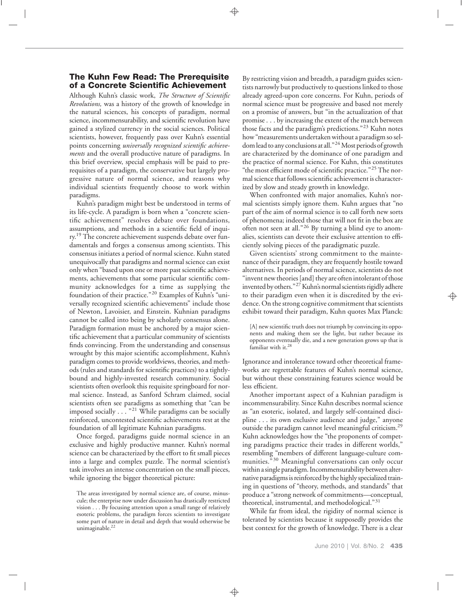#### **The Kuhn Few Read: The Prerequisite of a Concrete Scientific Achievement**

Although Kuhn's classic work, *The Structure of Scientific Revolutions,* was a history of the growth of knowledge in the natural sciences, his concepts of paradigm, normal science, incommensurability, and scientific revolution have gained a stylized currency in the social sciences. Political scientists, however, frequently pass over Kuhn's essential points concerning *universally recognized scientific achievements* and the overall productive nature of paradigms. In this brief overview, special emphasis will be paid to prerequisites of a paradigm, the conservative but largely progressive nature of normal science, and reasons why individual scientists frequently choose to work within paradigms.

Kuhn's paradigm might best be understood in terms of its life-cycle. A paradigm is born when a "concrete scientific achievement" resolves debate over foundations, assumptions, and methods in a scientific field of inquiry.<sup>19</sup> The concrete achievement suspends debate over fundamentals and forges a consensus among scientists. This consensus initiates a period of normal science. Kuhn stated unequivocally that paradigms and normal science can exist only when "based upon one or more past scientific achievements, achievements that some particular scientific community acknowledges for a time as supplying the foundation of their practice."<sup>20</sup> Examples of Kuhn's "universally recognized scientific achievements" include those of Newton, Lavoisier, and Einstein. Kuhnian paradigms cannot be called into being by scholarly consensus alone. Paradigm formation must be anchored by a major scientific achievement that a particular community of scientists finds convincing. From the understanding and consensus wrought by this major scientific accomplishment, Kuhn's paradigm comes to provide worldviews, theories, and methods (rules and standards for scientific practices) to a tightlybound and highly-invested research community. Social scientists often overlook this requisite springboard for normal science. Instead, as Sanford Schram claimed, social scientists often see paradigms as something that "can be imposed socially  $\ldots$ <sup>"21</sup> While paradigms can be socially reinforced, uncontested scientific achievements rest at the foundation of all legitimate Kuhnian paradigms.

Once forged, paradigms guide normal science in an exclusive and highly productive manner. Kuhn's normal science can be characterized by the effort to fit small pieces into a large and complex puzzle. The normal scientist's task involves an intense concentration on the small pieces, while ignoring the bigger theoretical picture:

By restricting vision and breadth, a paradigm guides scientists narrowly but productively to questions linked to those already agreed-upon core concerns. For Kuhn, periods of normal science must be progressive and based not merely on a promise of answers, but "in the actualization of that promise . . . by increasing the extent of the match between those facts and the paradigm's predictions."<sup>23</sup> Kuhn notes how "measurements undertaken without a paradigm so seldomlead to any conclusions at all."<sup>24</sup> Most periods of growth are characterized by the dominance of one paradigm and the practice of normal science. For Kuhn, this constitutes "the most efficient mode of scientific practice."<sup>25</sup> The normal science that follows scientific achievement is characterized by slow and steady growth in knowledge.

When confronted with major anomalies, Kuhn's normal scientists simply ignore them. Kuhn argues that "no part of the aim of normal science is to call forth new sorts of phenomena; indeed those that will not fit in the box are often not seen at all."<sup>26</sup> By turning a blind eye to anomalies, scientists can devote their exclusive attention to efficiently solving pieces of the paradigmatic puzzle.

Given scientists' strong commitment to the maintenance of their paradigm, they are frequently hostile toward alternatives. In periods of normal science, scientists do not "invent new theories [and] they are often intolerant of those invented by others."<sup>27</sup> Kuhn's normal scientists rigidly adhere to their paradigm even when it is discredited by the evidence. On the strong cognitive commitment that scientists exhibit toward their paradigm, Kuhn quotes Max Planck:

[A] new scientific truth does not triumph by convincing its opponents and making them see the light, but rather because its opponents eventually die, and a new generation grows up that is familiar with it.<sup>28</sup>

Ignorance and intolerance toward other theoretical frameworks are regrettable features of Kuhn's normal science, but without these constraining features science would be less efficient.

Another important aspect of a Kuhnian paradigm is incommensurability. Since Kuhn describes normal science as "an esoteric, isolated, and largely self-contained discipline . . . its own exclusive audience and judge," anyone outside the paradigm cannot level meaningful criticism.<sup>29</sup> Kuhn acknowledges how the "the proponents of competing paradigms practice their trades in different worlds," resembling "members of different language-culture communities."<sup>30</sup> Meaningful conversations can only occur within a single paradigm. Incommensurability between alternative paradigms is reinforced by the highly specialized training in questions of "theory, methods, and standards" that produce a "strong network of commitments—conceptual, theoretical, instrumental, and methodological."<sup>31</sup>

While far from ideal, the rigidity of normal science is tolerated by scientists because it supposedly provides the best context for the growth of knowledge. There is a clear

The areas investigated by normal science are, of course, minuscule; the enterprise now under discussion has drastically restricted vision . . . By focusing attention upon a small range of relatively esoteric problems, the paradigm forces scientists to investigate some part of nature in detail and depth that would otherwise be unimaginable. $22$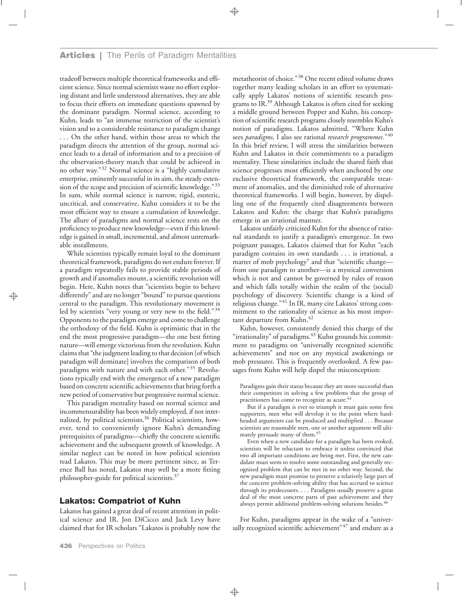# **Articles |** The Perils of Paradigm Mentalities

tradeoff between multiple theoretical frameworks and efficient science. Since normal scientists waste no effort exploring distant and little understood alternatives, they are able to focus their efforts on immediate questions spawned by the dominant paradigm. Normal science, according to Kuhn, leads to "an immense restriction of the scientist's vision and to a considerable resistance to paradigm change . . . On the other hand, within those areas to which the paradigm directs the attention of the group, normal science leads to a detail of information and to a precision of the observation-theory match that could be achieved in no other way."<sup>32</sup> Normal science is a "highly cumulative enterprise, eminently successful in its aim, the steady extension of the scope and precision of scientific knowledge."<sup>33</sup> In sum, while normal science is narrow, rigid, esoteric, uncritical, and conservative, Kuhn considers it to be the most efficient way to ensure a cumulation of knowledge. The allure of paradigms and normal science rests on the proficiency to produce new knowledge—even if this knowledge is gained in small, incremental, and almost unremarkable installments.

While scientists typically remain loyal to the dominant theoretical framework, paradigms do not endure forever. If a paradigm repeatedly fails to provide stable periods of growth and if anomalies mount, a scientific revolution will begin. Here, Kuhn notes that "scientists begin to behave differently" and are no longer "bound" to pursue questions central to the paradigm. This revolutionary movement is led by scientists "very young or very new to the field."<sup>34</sup> Opponents to the paradigm emerge and come to challenge the orthodoxy of the field. Kuhn is optimistic that in the end the most progressive paradigm—the one best fitting nature—will emerge victorious from the revolution. Kuhn claims that "the judgment leading to that decision [of which paradigm will dominate] involves the comparison of both paradigms with nature and with each other."<sup>35</sup> Revolutions typically end with the emergence of a new paradigm based on concrete scientific achievements that bring forth a new period of conservative but progressive normal science.

This paradigm mentality based on normal science and incommensurability has been widely employed, if not internalized, by political scientists. $36$  Political scientists, however, tend to conveniently ignore Kuhn's demanding prerequisites of paradigms—chiefly the concrete scientific achievement and the subsequent growth of knowledge. A similar neglect can be noted in how political scientists read Lakatos. This may be more pertinent since, as Terence Ball has noted, Lakatos may well be a more fitting philosopher-guide for political scientists.37

## **Lakatos: Compatriot of Kuhn**

Lakatos has gained a great deal of recent attention in political science and IR. Jon DiCicco and Jack Levy have claimed that for IR scholars "Lakatos is probably now the metatheorist of choice."<sup>38</sup> One recent edited volume draws together many leading scholars in an effort to systematically apply Lakatos' notions of scientific research programs to IR.39 Although Lakatos is often cited for seeking a middle ground between Popper and Kuhn, his conception of scientific research programs closely resembles Kuhn's notion of paradigms. Lakatos admitted, "Where Kuhn sees *paradigms,* I also see rational *research programmes.*"<sup>40</sup> In this brief review, I will stress the similarities between Kuhn and Lakatos in their commitments to a paradigm mentality. These similarities include the shared faith that science progresses most efficiently when anchored by one exclusive theoretical framework, the comparable treatment of anomalies, and the diminished role of alternative theoretical frameworks. I will begin, however, by dispelling one of the frequently cited disagreements between Lakatos and Kuhn: the charge that Kuhn's paradigms emerge in an irrational manner.

Lakatos unfairly criticized Kuhn for the absence of rational standards to justify a paradigm's emergence. In two poignant passages, Lakatos claimed that for Kuhn "each paradigm contains its own standards . . . is irrational, a matter of mob psychology" and that "scientific change from one paradigm to another—is a mystical conversion which is not and cannot be governed by rules of reason and which falls totally within the realm of the (social) psychology of discovery. Scientific change is a kind of religious change."<sup>41</sup> In IR, many cite Lakatos' strong commitment to the rationality of science as his most important departure from Kuhn.<sup>42</sup>

Kuhn, however, consistently denied this charge of the "irrationality" of paradigms.<sup>43</sup> Kuhn grounds his commitment to paradigms on "universally recognized scientific achievements" and not on any mystical awakenings or mob pressures. This is frequently overlooked. A few passages from Kuhn will help dispel the misconception:

Paradigms gain their status because they are more successful than their competitors in solving a few problems that the group of practitioners has come to recognize as acute.<sup>44</sup>

But if a paradigm is ever to triumph it must gain some first supporters, men who will develop it to the point where hardheaded arguments can be produced and multiplied . . . Because scientists are reasonable men, one or another argument will ultimately persuade many of them.<sup>45</sup>

Even when a new candidate for a paradigm has been evoked, scientists will be reluctant to embrace it unless convinced that two all important conditions are being met. First, the new candidate must seem to resolve some outstanding and generally recognized problem that can be met in no other way. Second, the new paradigm must promise to preserve a relatively large part of the concrete problem-solving ability that has accrued to science through its predecessors....Paradigms usually preserve a great deal of the most concrete parts of past achievement and they always permit additional problem-solving solutions besides.<sup>46</sup>

For Kuhn, paradigms appear in the wake of a "universally recognized scientific achievement"<sup>47</sup> and endure as a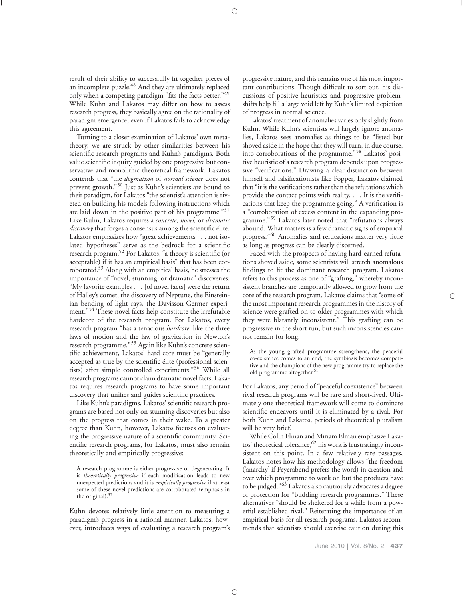result of their ability to successfully fit together pieces of an incomplete puzzle.<sup>48</sup> And they are ultimately replaced only when a competing paradigm "fits the facts better."<sup>49</sup> While Kuhn and Lakatos may differ on how to assess research progress, they basically agree on the rationality of paradigm emergence, even if Lakatos fails to acknowledge this agreement.

Turning to a closer examination of Lakatos' own metatheory, we are struck by other similarities between his scientific research programs and Kuhn's paradigms. Both value scientific inquiry guided by one progressive but conservative and monolithic theoretical framework. Lakatos contends that "the *dogmatism* of *normal science* does not prevent growth."<sup>50</sup> Just as Kuhn's scientists are bound to their paradigm, for Lakatos "the scientist's attention is riveted on building his models following instructions which are laid down in the positive part of his programme."<sup>51</sup> Like Kuhn, Lakatos requires a *concrete, novel,* or *dramatic discovery* that forges a consensus among the scientific élite. Lakatos emphasizes how "great achievements . . . not isolated hypotheses" serve as the bedrock for a scientific research program.52 For Lakatos, "a theory is scientific (or acceptable) if it has an empirical basis" that has been corroborated.53 Along with an empirical basis, he stresses the importance of "novel, stunning, or dramatic" discoveries: "My favorite examples . . . [of novel facts] were the return of Halley's comet, the discovery of Neptune, the Einsteinian bending of light rays, the Davisson-Germer experiment."<sup>54</sup> These novel facts help constitute the irrefutable hardcore of the research program. For Lakatos, every research program "has a tenacious *hardcore,* like the three laws of motion and the law of gravitation in Newton's research programme."<sup>55</sup> Again like Kuhn's concrete scientific achievement, Lakatos' hard core must be "generally accepted as true by the scientific élite (professional scientists) after simple controlled experiments."<sup>56</sup> While all research programs cannot claim dramatic novel facts, Lakatos requires research programs to have some important discovery that unifies and guides scientific practices.

Like Kuhn's paradigms, Lakatos' scientific research programs are based not only on stunning discoveries but also on the progress that comes in their wake. To a greater degree than Kuhn, however, Lakatos focuses on evaluating the progressive nature of a scientific community. Scientific research programs, for Lakatos, must also remain theoretically and empirically progressive:

Kuhn devotes relatively little attention to measuring a paradigm's progress in a rational manner. Lakatos, however, introduces ways of evaluating a research program's progressive nature, and this remains one of his most important contributions. Though difficult to sort out, his discussions of positive heuristics and progressive problemshifts help fill a large void left by Kuhn's limited depiction of progress in normal science.

Lakatos' treatment of anomalies varies only slightly from Kuhn. While Kuhn's scientists will largely ignore anomalies, Lakatos sees anomalies as things to be "listed but shoved aside in the hope that they will turn, in due course, into corroborations of the programme."<sup>58</sup> Lakatos' positive heuristic of a research program depends upon progressive "verifications." Drawing a clear distinction between himself and falsificationists like Popper, Lakatos claimed that "it is the verifications rather than the refutations which provide the contact points with reality. . . . It is the verifications that keep the programme going." A verification is a "corroboration of excess content in the expanding programme."<sup>59</sup> Lakatos later noted that "refutations always abound. What matters is a few dramatic signs of empirical progress."<sup>60</sup> Anomalies and refutations matter very little as long as progress can be clearly discerned.

Faced with the prospects of having hard-earned refutations shoved aside, some scientists will stretch anomalous findings to fit the dominant research program. Lakatos refers to this process as one of "grafting," whereby inconsistent branches are temporarily allowed to grow from the core of the research program. Lakatos claims that "some of the most important research programmes in the history of science were grafted on to older programmes with which they were blatantly inconsistent." This grafting can be progressive in the short run, but such inconsistencies cannot remain for long.

As the young grafted programme strengthens, the peaceful co-existence comes to an end, the symbiosis becomes competitive and the champions of the new programme try to replace the old programme altogether. $^{61}$ 

For Lakatos, any period of "peaceful coexistence" between rival research programs will be rare and short-lived. Ultimately one theoretical framework will come to dominate scientific endeavors until it is eliminated by a rival. For both Kuhn and Lakatos, periods of theoretical pluralism will be very brief.

While Colin Elman and Miriam Elman emphasize Lakatos' theoretical tolerance,  $62$  his work is frustratingly inconsistent on this point. In a few relatively rare passages, Lakatos notes how his methodology allows "the freedom ('anarchy' if Feyerabend prefers the word) in creation and over which programme to work on but the products have to be judged."<sup>63</sup> Lakatos also cautiously advocates a degree of protection for "budding research programmes." These alternatives "should be sheltered for a while from a powerful established rival." Reiterating the importance of an empirical basis for all research programs, Lakatos recommends that scientists should exercise caution during this

A research programme is either progressive or degenerating. It is *theoretically progressive* if each modification leads to new unexpected predictions and it is *empirically progressive* if at least some of these novel predictions are corroborated (emphasis in the original).<sup>57</sup>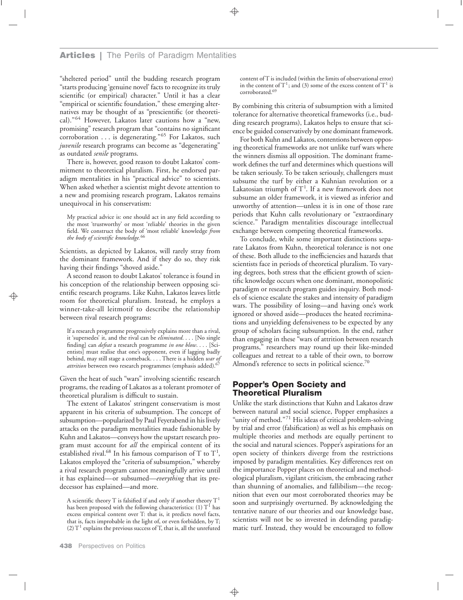"sheltered period" until the budding research program "starts producing 'genuine novel' facts to recognize its truly scientific (or empirical) character." Until it has a clear "empirical or scientific foundation," these emerging alternatives may be thought of as "prescientific (or theoretical)."<sup>64</sup> However, Lakatos later cautions how a "new, promising" research program that "contains no significant corroboration . . . is degenerating."<sup>65</sup> For Lakatos, such *juvenile* research programs can become as "degenerating" as outdated *senile* programs.

There is, however, good reason to doubt Lakatos' commitment to theoretical pluralism. First, he endorsed paradigm mentalities in his "practical advice" to scientists. When asked whether a scientist might devote attention to a new and promising research program, Lakatos remains unequivocal in his conservatism:

My practical advice is: one should act in any field according to the most 'trustworthy' or most 'reliable' theories in the given field. We construct the body of 'most reliable' knowledge *from the body of scientific knowledge.*<sup>66</sup>

Scientists, as depicted by Lakatos, will rarely stray from the dominant framework. And if they do so, they risk having their findings "shoved aside."

A second reason to doubt Lakatos' tolerance is found in his conception of the relationship between opposing scientific research programs. Like Kuhn, Lakatos leaves little room for theoretical pluralism. Instead, he employs a winner-take-all leitmotif to describe the relationship between rival research programs:

If a research programme progressively explains more than a rival, it 'supersedes' it, and the rival can be *eliminated*. . . . [No single finding] can *defeat* a research programme *in one blow*.... [Scientists] must realise that one's opponent, even if lagging badly behind, may still stage a comeback.... There is a hidden *war of attrition* between two research programmes (emphasis added).67

Given the heat of such "wars" involving scientific research programs, the reading of Lakatos as a tolerant promoter of theoretical pluralism is difficult to sustain.

The extent of Lakatos' stringent conservatism is most apparent in his criteria of subsumption. The concept of subsumption—popularized by Paul Feyerabend in his lively attacks on the paradigm mentalities made fashionable by Kuhn and Lakatos—conveys how the upstart research program must account for *all* the empirical content of its established rival.<sup>68</sup> In his famous comparison of T to  $T^1$ , Lakatos employed the "criteria of subsumption," whereby a rival research program cannot meaningfully arrive until it has explained—or subsumed—*everything* that its predecessor has explained—and more.

content of T is included (within the limits of observational error) in the content of T<sup>1</sup>; and (3) some of the excess content of T<sup>1</sup> is corroborated.69

By combining this criteria of subsumption with a limited tolerance for alternative theoretical frameworks (i.e., budding research programs), Lakatos helps to ensure that science be guided conservatively by one dominant framework.

For both Kuhn and Lakatos, contentions between opposing theoretical frameworks are not unlike turf wars where the winners dismiss all opposition. The dominant framework defines the turf and determines which questions will be taken seriously. To be taken seriously, challengers must subsume the turf by either a Kuhnian revolution or a Lakatosian triumph of  $T^1$ . If a new framework does not subsume an older framework, it is viewed as inferior and unworthy of attention—unless it is in one of those rare periods that Kuhn calls revolutionary or "extraordinary science." Paradigm mentalities discourage intellectual exchange between competing theoretical frameworks.

To conclude, while some important distinctions separate Lakatos from Kuhn, theoretical tolerance is not one of these. Both allude to the inefficiencies and hazards that scientists face in periods of theoretical pluralism. To varying degrees, both stress that the efficient growth of scientific knowledge occurs when one dominant, monopolistic paradigm or research program guides inquiry. Both models of science escalate the stakes and intensity of paradigm wars. The possibility of losing—and having one's work ignored or shoved aside—produces the heated recriminations and unyielding defensiveness to be expected by any group of scholars facing subsumption. In the end, rather than engaging in these "wars of attrition between research programs," researchers may round up their like-minded colleagues and retreat to a table of their own, to borrow Almond's reference to sects in political science.<sup>70</sup>

## **Popper's Open Society and Theoretical Pluralism**

Unlike the stark distinctions that Kuhn and Lakatos draw between natural and social science, Popper emphasizes a "unity of method."<sup>71</sup> His ideas of critical problem-solving by trial and error (falsification) as well as his emphasis on multiple theories and methods are equally pertinent to the social and natural sciences. Popper's aspirations for an open society of thinkers diverge from the restrictions imposed by paradigm mentalities. Key differences rest on the importance Popper places on theoretical and methodological pluralism, vigilant criticism, the embracing rather than shunning of anomalies, and fallibilism—the recognition that even our most corroborated theories may be soon and surprisingly overturned. By acknowledging the tentative nature of our theories and our knowledge base, scientists will not be so invested in defending paradigmatic turf. Instead, they would be encouraged to follow

A scientific theory T is falsified if and only if another theory  $\mathrm{T}^1$ has been proposed with the following characteristics: (1)  $T<sup>1</sup>$  has excess empirical content over T: that is, it predicts novel facts, that is, facts improbable in the light of, or even forbidden, by T; (2)  $T<sup>1</sup>$  explains the previous success of T, that is, all the unrefuted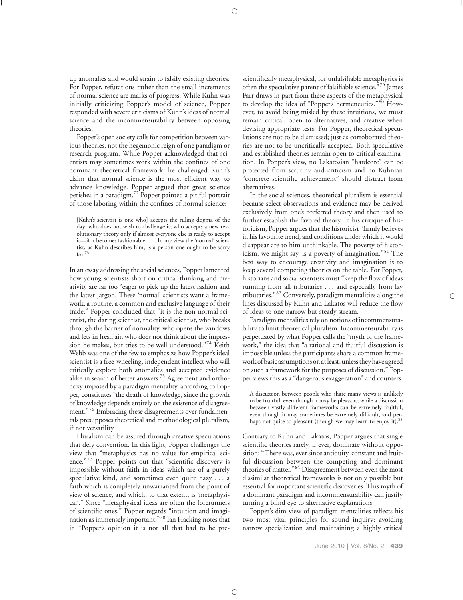up anomalies and would strain to falsify existing theories. For Popper, refutations rather than the small increments of normal science are marks of progress. While Kuhn was initially criticizing Popper's model of science, Popper responded with severe criticisms of Kuhn's ideas of normal science and the incommensurability between opposing theories.

Popper's open society calls for competition between various theories, not the hegemonic reign of one paradigm or research program. While Popper acknowledged that scientists may sometimes work within the confines of one dominant theoretical framework, he challenged Kuhn's claim that normal science is the most efficient way to advance knowledge. Popper argued that great science perishes in a paradigm.<sup>72</sup> Popper painted a pitiful portrait of those laboring within the confines of normal science:

[Kuhn's scientist is one who] accepts the ruling dogma of the day; who does not wish to challenge it; who accepts a new revolutionary theory only if almost everyone else is ready to accept it—if it becomes fashionable. . . . In my view the 'normal' scientist, as Kuhn describes him, is a person one ought to be sorry for. $73$ 

In an essay addressing the social sciences, Popper lamented how young scientists short on critical thinking and creativity are far too "eager to pick up the latest fashion and the latest jargon. These 'normal' scientists want a framework, a routine, a common and exclusive language of their trade." Popper concluded that "it is the non-normal scientist, the daring scientist, the critical scientist, who breaks through the barrier of normality, who opens the windows and lets in fresh air, who does not think about the impression he makes, but tries to be well understood."<sup>74</sup> Keith Webb was one of the few to emphasize how Popper's ideal scientist is a free-wheeling, independent intellect who will critically explore both anomalies and accepted evidence alike in search of better answers.<sup>75</sup> Agreement and orthodoxy imposed by a paradigm mentality, according to Popper, constitutes "the death of knowledge, since the growth of knowledge depends entirely on the existence of disagreement."<sup>76</sup> Embracing these disagreements over fundamentals presupposes theoretical and methodological pluralism, if not versatility.

Pluralism can be assured through creative speculations that defy convention. In this light, Popper challenges the view that "metaphysics has no value for empirical science."<sup>77</sup> Popper points out that "scientific discovery is impossible without faith in ideas which are of a purely speculative kind, and sometimes even quite hazy . . . a faith which is completely unwarranted from the point of view of science, and which, to that extent, is 'metaphysical'." Since "metaphysical ideas are often the forerunners of scientific ones," Popper regards "intuition and imagination as immensely important."<sup>78</sup> Ian Hacking notes that in "Popper's opinion it is not all that bad to be prescientifically metaphysical, for unfalsifiable metaphysics is often the speculative parent of falsifiable science."<sup>79</sup> James Farr draws in part from these aspects of the metaphysical to develop the idea of "Popper's hermeneutics."<sup>80</sup> However, to avoid being misled by these intuitions, we must remain critical, open to alternatives, and creative when devising appropriate tests. For Popper, theoretical speculations are not to be dismissed; just as corroborated theories are not to be uncritically accepted. Both speculative and established theories remain open to critical examination. In Popper's view, no Lakatosian "hardcore" can be protected from scrutiny and criticism and no Kuhnian "concrete scientific achievement" should distract from alternatives.

In the social sciences, theoretical pluralism is essential because select observations and evidence may be derived exclusively from one's preferred theory and then used to further establish the favored theory. In his critique of historicism, Popper argues that the historicist "firmly believes in his favourite trend, and conditions under which it would disappear are to him unthinkable. The poverty of historicism, we might say, is a poverty of imagination."<sup>81</sup> The best way to encourage creativity and imagination is to keep several competing theories on the table. For Popper, historians and social scientists must "keep the flow of ideas running from all tributaries . . . and especially from lay tributaries."<sup>82</sup> Conversely, paradigm mentalities along the lines discussed by Kuhn and Lakatos will reduce the flow of ideas to one narrow but steady stream.

Paradigm mentalities rely on notions of incommensurability to limit theoretical pluralism. Incommensurability is perpetuated by what Popper calls the "myth of the framework," the idea that "a rational and fruitful discussion is impossible unless the participants share a common framework of basic assumptions or, at least, unless they have agreed on such a framework for the purposes of discussion." Popper views this as a "dangerous exaggeration" and counters:

A discussion between people who share many views is unlikely to be fruitful, even though it may be pleasant; while a discussion between vastly different frameworks can be extremely fruitful, even though it may sometimes be extremely difficult, and perhaps not quite so pleasant (though we may learn to enjoy it).<sup>83</sup>

Contrary to Kuhn and Lakatos, Popper argues that single scientific theories rarely, if ever, dominate without opposition: "There was, ever since antiquity, constant and fruitful discussion between the competing and dominant theories of matter."<sup>84</sup> Disagreement between even the most dissimilar theoretical frameworks is not only possible but essential for important scientific discoveries. This myth of a dominant paradigm and incommensurability can justify turning a blind eye to alternative explanations.

Popper's dim view of paradigm mentalities reflects his two most vital principles for sound inquiry: avoiding narrow specialization and maintaining a highly critical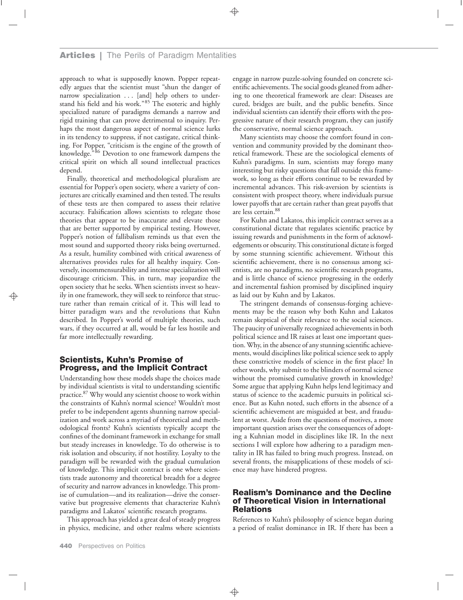approach to what is supposedly known. Popper repeatedly argues that the scientist must "shun the danger of narrow specialization . . . [and] help others to understand his field and his work."<sup>85</sup> The esoteric and highly specialized nature of paradigms demands a narrow and rigid training that can prove detrimental to inquiry. Perhaps the most dangerous aspect of normal science lurks in its tendency to suppress, if not castigate, critical thinking. For Popper, "criticism is the engine of the growth of knowledge."<sup>86</sup> Devotion to one framework dampens the critical spirit on which all sound intellectual practices depend.

Finally, theoretical and methodological pluralism are essential for Popper's open society, where a variety of conjectures are critically examined and then tested. The results of these tests are then compared to assess their relative accuracy. Falsification allows scientists to relegate those theories that appear to be inaccurate and elevate those that are better supported by empirical testing. However, Popper's notion of fallibalism reminds us that even the most sound and supported theory risks being overturned. As a result, humility combined with critical awareness of alternatives provides rules for all healthy inquiry. Conversely, incommensurability and intense specialization will discourage criticism. This, in turn, may jeopardize the open society that he seeks. When scientists invest so heavily in one framework, they will seek to reinforce that structure rather than remain critical of it. This will lead to bitter paradigm wars and the revolutions that Kuhn described. In Popper's world of multiple theories, such wars, if they occurred at all, would be far less hostile and far more intellectually rewarding.

# **Scientists, Kuhn's Promise of Progress, and the Implicit Contract**

Understanding how these models shape the choices made by individual scientists is vital to understanding scientific practice.<sup>87</sup> Why would any scientist choose to work within the constraints of Kuhn's normal science? Wouldn't most prefer to be independent agents shunning narrow specialization and work across a myriad of theoretical and methodological fronts? Kuhn's scientists typically accept the confines of the dominant framework in exchange for small but steady increases in knowledge. To do otherwise is to risk isolation and obscurity, if not hostility. Loyalty to the paradigm will be rewarded with the gradual cumulation of knowledge. This implicit contract is one where scientists trade autonomy and theoretical breadth for a degree of security and narrow advances in knowledge. This promise of cumulation—and its realization—drive the conservative but progressive elements that characterize Kuhn's paradigms and Lakatos' scientific research programs.

This approach has yielded a great deal of steady progress in physics, medicine, and other realms where scientists engage in narrow puzzle-solving founded on concrete scientific achievements. The social goods gleaned from adhering to one theoretical framework are clear: Diseases are cured, bridges are built, and the public benefits. Since individual scientists can identify their efforts with the progressive nature of their research program, they can justify the conservative, normal science approach.

Many scientists may choose the comfort found in convention and community provided by the dominant theoretical framework. These are the sociological elements of Kuhn's paradigms. In sum, scientists may forego many interesting but risky questions that fall outside this framework, so long as their efforts continue to be rewarded by incremental advances. This risk-aversion by scientists is consistent with prospect theory, where individuals pursue lower payoffs that are certain rather than great payoffs that are less certain.<sup>88</sup>

For Kuhn and Lakatos, this implicit contract serves as a constitutional dictate that regulates scientific practice by issuing rewards and punishments in the form of acknowledgements or obscurity. This constitutional dictate is forged by some stunning scientific achievement. Without this scientific achievement, there is no consensus among scientists, are no paradigms, no scientific research programs, and is little chance of science progressing in the orderly and incremental fashion promised by disciplined inquiry as laid out by Kuhn and by Lakatos.

The stringent demands of consensus-forging achievements may be the reason why both Kuhn and Lakatos remain skeptical of their relevance to the social sciences. The paucity of universally recognized achievements in both political science and IR raises at least one important question. Why, in the absence of any stunning scientific achievements, would disciplines like political science seek to apply these constrictive models of science in the first place? In other words, why submit to the blinders of normal science without the promised cumulative growth in knowledge? Some argue that applying Kuhn helps lend legitimacy and status of science to the academic pursuits in political science. But as Kuhn noted, such efforts in the absence of a scientific achievement are misguided at best, and fraudulent at worst. Aside from the questions of motives, a more important question arises over the consequences of adopting a Kuhnian model in disciplines like IR. In the next sections I will explore how adhering to a paradigm mentality in IR has failed to bring much progress. Instead, on several fronts, the misapplications of these models of science may have hindered progress.

#### **Realism's Dominance and the Decline of Theoretical Vision in International Relations**

References to Kuhn's philosophy of science began during a period of realist dominance in IR. If there has been a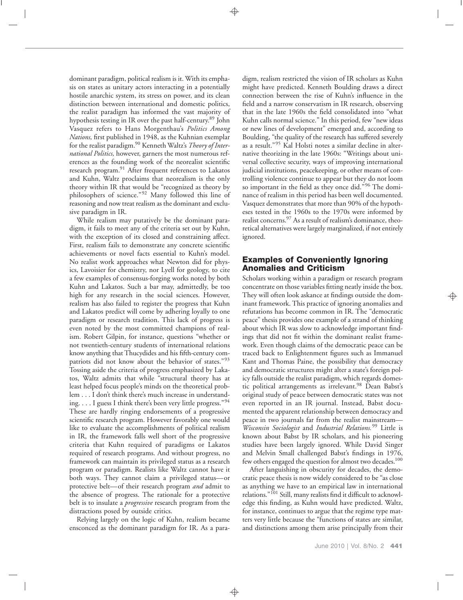dominant paradigm, political realism is it. With its emphasis on states as unitary actors interacting in a potentially hostile anarchic system, its stress on power, and its clean distinction between international and domestic politics, the realist paradigm has informed the vast majority of hypothesis testing in IR over the past half-century.89 John Vasquez refers to Hans Morgenthau's *Politics Among Nations,* first published in 1948, as the Kuhnian exemplar for the realist paradigm.90 Kenneth Waltz's *Theory of International Politics,* however, garners the most numerous references as the founding work of the neorealist scientific research program.<sup>91</sup> After frequent references to Lakatos and Kuhn, Waltz proclaims that neorealism is the only theory within IR that would be "recognized as theory by philosophers of science."<sup>92</sup> Many followed this line of reasoning and now treat realism as the dominant and exclusive paradigm in IR.

While realism may putatively be the dominant paradigm, it fails to meet any of the criteria set out by Kuhn, with the exception of its closed and constraining affect. First, realism fails to demonstrate any concrete scientific achievements or novel facts essential to Kuhn's model. No realist work approaches what Newton did for physics, Lavoisier for chemistry, nor Lyell for geology, to cite a few examples of consensus-forging works noted by both Kuhn and Lakatos. Such a bar may, admittedly, be too high for any research in the social sciences. However, realism has also failed to register the progress that Kuhn and Lakatos predict will come by adhering loyally to one paradigm or research tradition. This lack of progress is even noted by the most committed champions of realism. Robert Gilpin, for instance, questions "whether or not twentieth-century students of international relations know anything that Thucydides and his fifth-century compatriots did not know about the behavior of states."<sup>93</sup> Tossing aside the criteria of progress emphasized by Lakatos, Waltz admits that while "structural theory has at least helped focus people's minds on the theoretical problem . . . I don't think there's much increase in understanding. . . . I guess I think there's been very little progress."<sup>94</sup> These are hardly ringing endorsements of a progressive scientific research program. However favorably one would like to evaluate the accomplishments of political realism in IR, the framework falls well short of the progressive criteria that Kuhn required of paradigms or Lakatos required of research programs. And without progress, no framework can maintain its privileged status as a research program or paradigm. Realists like Waltz cannot have it both ways. They cannot claim a privileged status—or protective belt—of their research program *and* admit to the absence of progress. The rationale for a protective belt is to insulate a *progressive* research program from the distractions posed by outside critics.

Relying largely on the logic of Kuhn, realism became ensconced as the dominant paradigm for IR. As a paradigm, realism restricted the vision of IR scholars as Kuhn might have predicted. Kenneth Boulding draws a direct connection between the rise of Kuhn's influence in the field and a narrow conservatism in IR research, observing that in the late 1960s the field consolidated into "what Kuhn calls normal science." In this period, few "new ideas or new lines of development" emerged and, according to Boulding, "the quality of the research has suffered severely as a result."<sup>95</sup> Kal Holsti notes a similar decline in alternative theorizing in the late 1960s: "Writings about universal collective security, ways of improving international judicial institutions, peacekeeping, or other means of controlling violence continue to appear but they do not loom so important in the field as they once did."<sup>96</sup> The dominance of realism in this period has been well documented. Vasquez demonstrates that more than 90% of the hypotheses tested in the 1960s to the 1970s were informed by realist concerns.<sup>97</sup> As a result of realism's dominance, theoretical alternatives were largely marginalized, if not entirely ignored.

### **Examples of Conveniently Ignoring Anomalies and Criticism**

Scholars working within a paradigm or research program concentrate on those variables fitting neatly inside the box. They will often look askance at findings outside the dominant framework. This practice of ignoring anomalies and refutations has become common in IR. The "democratic peace" thesis provides one example of a strand of thinking about which IR was slow to acknowledge important findings that did not fit within the dominant realist framework. Even though claims of the democratic peace can be traced back to Enlightenment figures such as Immanuel Kant and Thomas Paine, the possibility that democracy and democratic structures might alter a state's foreign policy falls outside the realist paradigm, which regards domestic political arrangements as irrelevant.<sup>98</sup> Dean Babst's original study of peace between democratic states was not even reported in an IR journal. Instead, Babst documented the apparent relationship between democracy and peace in two journals far from the realist mainstream— *Wisconsin Sociologist* and *Industrial Relations.*<sup>99</sup> Little is known about Babst by IR scholars, and his pioneering studies have been largely ignored. While David Singer and Melvin Small challenged Babst's findings in 1976, few others engaged the question for almost two decades.<sup>100</sup>

After languishing in obscurity for decades, the democratic peace thesis is now widely considered to be "as close as anything we have to an empirical law in international relations."<sup>101</sup> Still, many realists find it difficult to acknowledge this finding, as Kuhn would have predicted. Waltz, for instance, continues to argue that the regime type matters very little because the "functions of states are similar, and distinctions among them arise principally from their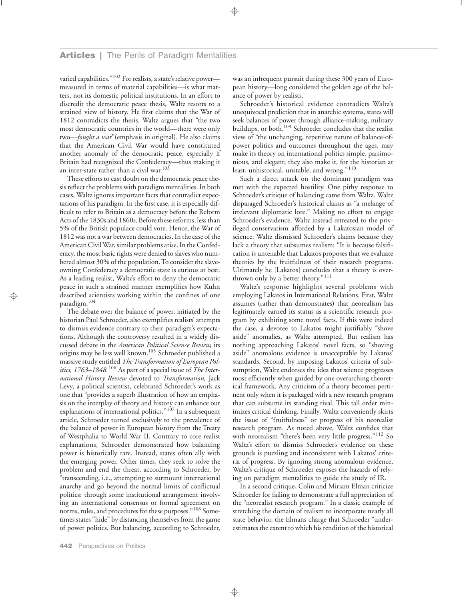## **Articles |** The Perils of Paradigm Mentalities

varied capabilities."<sup>102</sup> For realists, a state's relative powermeasured in terms of material capabilities—is what matters, not its domestic political institutions. In an effort to discredit the democratic peace thesis, Waltz resorts to a strained view of history. He first claims that the War of 1812 contradicts the thesis. Waltz argues that "the two most democratic countries in the world—there were only two—*fought a war*"(emphasis in original). He also claims that the American Civil War would have constituted another anomaly of the democratic peace, especially if Britain had recognized the Confederacy—thus making it an inter-state rather than a civil war.<sup>103</sup>

These efforts to cast doubt on the democratic peace thesis reflect the problems with paradigm mentalities. In both cases, Waltz ignores important facts that contradict expectations of his paradigm. In the first case, it is especially difficult to refer to Britain as a democracy before the Reform Acts of the 1830s and 1860s. Before these reforms, less than 5% of the British populace could vote. Hence, the War of 1812 was not a war between democracies. In the case of the American CivilWar, similar problems arise. In the Confederacy, the most basic rights were denied to slaves who numbered almost 30% of the population. To consider the slaveowning Confederacy a democratic state is curious at best. As a leading realist, Waltz's effort to deny the democratic peace in such a strained manner exemplifies how Kuhn described scientists working within the confines of one paradigm.104

The debate over the balance of power, initiated by the historian Paul Schroeder, also exemplifies realists' attempts to dismiss evidence contrary to their paradigm's expectations. Although the controversy resulted in a widely discussed debate in the *American Political Science Review,* its origins may be less well known.105 Schroeder published a massive study entitled *The Transformation of European Politics, 1763–1848.*<sup>106</sup> As part of a special issue of *The International History Review* devoted to *Transformation,* Jack Levy, a political scientist, celebrated Schroeder's work as one that "provides a superb illustration of how an emphasis on the interplay of theory and history can enhance our explanations of international politics."<sup>107</sup> In a subsequent article, Schroeder turned exclusively to the prevalence of the balance of power in European history from the Treaty of Westphalia to World War II. Contrary to core realist explanations, Schroeder demonstrated how balancing power is historically rare. Instead, states often ally with the emerging power. Other times, they seek to solve the problem and end the threat, according to Schroeder, by "transcending, i.e., attempting to surmount international anarchy and go beyond the normal limits of conflictual politics: through some institutional arrangement involving an international consensus or formal agreement on norms, rules, and procedures for these purposes."<sup>108</sup> Sometimes states "hide" by distancing themselves from the game of power politics. But balancing, according to Schroeder,

was an infrequent pursuit during these 300 years of European history—long considered the golden age of the balance of power by realists.

Schroeder's historical evidence contradicts Waltz's unequivocal prediction that in anarchic systems, states will seek balances of power through alliance-making, military buildups, or both.<sup>109</sup> Schroeder concludes that the realist view of "the unchanging, repetitive nature of balance-ofpower politics and outcomes throughout the ages, may make its theory on international politics simple, parsimonious, and elegant; they also make it, for the historian at least, unhistorical, unstable, and wrong."<sup>110</sup>

Such a direct attack on the dominant paradigm was met with the expected hostility. One pithy response to Schroeder's critique of balancing came from Waltz. Waltz disparaged Schroeder's historical claims as "a melange of irrelevant diplomatic lore." Making no effort to engage Schroeder's evidence, Waltz instead retreated to the privileged conservatism afforded by a Lakatosian model of science. Waltz dismissed Schroeder's claims because they lack a theory that subsumes realism: "It is because falsification is untenable that Lakatos proposes that we evaluate theories by the fruitfulness of their research programs. Ultimately he [Lakatos] concludes that a theory is overthrown only by a better theory."<sup>111</sup>

Waltz's response highlights several problems with employing Lakatos in International Relations. First, Waltz assumes (rather than demonstrates) that neorealism has legitimately earned its status as a scientific research program by exhibiting some novel facts. If this were indeed the case, a devotee to Lakatos might justifiably "shove aside" anomalies, as Waltz attempted. But realism has nothing approaching Lakatos' novel facts, so "shoving aside" anomalous evidence is unacceptable by Lakatos' standards. Second, by imposing Lakatos' criteria of subsumption, Waltz endorses the idea that science progresses most efficiently when guided by one overarching theoretical framework. Any criticism of a theory becomes pertinent only when it is packaged with a new research program that can subsume its standing rival. This tall order minimizes critical thinking. Finally, Waltz conveniently skirts the issue of "fruitfulness" or progress of his neorealist research program. As noted above, Waltz confides that with neorealism "there's been very little progress."<sup>112</sup> So Waltz's effort to dismiss Schroeder's evidence on these grounds is puzzling and inconsistent with Lakatos' criteria of progress. By ignoring strong anomalous evidence, Waltz's critique of Schroeder exposes the hazards of relying on paradigm mentalities to guide the study of IR.

In a second critique, Colin and Miriam Elman criticize Schroeder for failing to demonstrate a full appreciation of the "neorealist research program." In a classic example of stretching the domain of realism to incorporate nearly all state behavior, the Elmans charge that Schroeder "underestimates the extent to which his rendition of the historical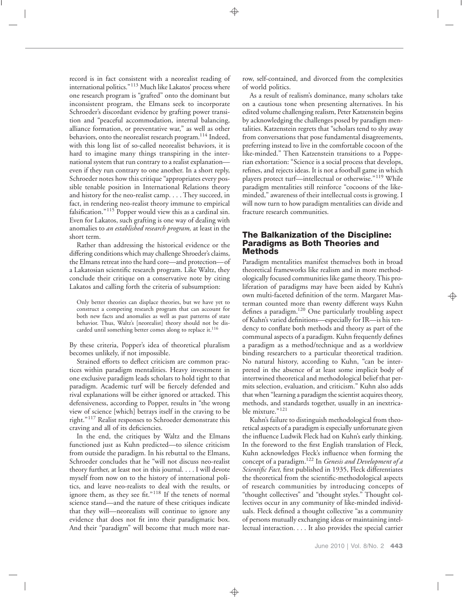record is in fact consistent with a neorealist reading of international politics."<sup>113</sup> Much like Lakatos' process where one research program is "grafted" onto the dominant but inconsistent program, the Elmans seek to incorporate Schroeder's discordant evidence by grafting power transition and "peaceful accommodation, internal balancing, alliance formation, or preventative war," as well as other behaviors, onto the neorealist research program.<sup>114</sup> Indeed, with this long list of so-called neorealist behaviors, it is hard to imagine many things transpiring in the international system that run contrary to a realist explanation even if they run contrary to one another. In a short reply, Schroeder notes how this critique "appropriates every possible tenable position in International Relations theory and history for the neo-realist camp.... They succeed, in fact, in rendering neo-realist theory immune to empirical falsification."<sup>115</sup> Popper would view this as a cardinal sin. Even for Lakatos, such grafting is one way of dealing with anomalies to *an established research program,* at least in the short term.

Rather than addressing the historical evidence or the differing conditions which may challenge Shroeder's claims, the Elmans retreat into the hard core—and protection—of a Lakatosian scientific research program. Like Waltz, they conclude their critique on a conservative note by citing Lakatos and calling forth the criteria of subsumption:

Only better theories can displace theories, but we have yet to construct a competing research program that can account for both new facts and anomalies as well as past patterns of state behavior. Thus, Waltz's [neorealist] theory should not be discarded until something better comes along to replace it.<sup>116</sup>

By these criteria, Popper's idea of theoretical pluralism becomes unlikely, if not impossible.

Strained efforts to deflect criticism are common practices within paradigm mentalities. Heavy investment in one exclusive paradigm leads scholars to hold tight to that paradigm. Academic turf will be fiercely defended and rival explanations will be either ignored or attacked. This defensiveness, according to Popper, results in "the wrong view of science [which] betrays itself in the craving to be right."<sup>117</sup> Realist responses to Schroeder demonstrate this craving and all of its deficiencies.

In the end, the critiques by Waltz and the Elmans functioned just as Kuhn predicted—to silence criticism from outside the paradigm. In his rebuttal to the Elmans, Schroeder concludes that he "will not discuss neo-realist theory further, at least not in this journal. . . . I will devote myself from now on to the history of international politics, and leave neo-realists to deal with the results, or ignore them, as they see fit."<sup>118</sup> If the tenets of normal science stand—and the nature of these critiques indicate that they will—neorealists will continue to ignore any evidence that does not fit into their paradigmatic box. And their "paradigm" will become that much more narrow, self-contained, and divorced from the complexities of world politics.

As a result of realism's dominance, many scholars take on a cautious tone when presenting alternatives. In his edited volume challenging realism, Peter Katzenstein begins by acknowledging the challenges posed by paradigm mentalities. Katzenstein regrets that "scholars tend to shy away from conversations that pose fundamental disagreements, preferring instead to live in the comfortable cocoon of the like-minded." Then Katzenstein transitions to a Popperian exhortation: "Science is a social process that develops, refines, and rejects ideas. It is not a football game in which players protect turf—intellectual or otherwise."<sup>119</sup> While paradigm mentalities still reinforce "cocoons of the likeminded," awareness of their intellectual costs is growing. I will now turn to how paradigm mentalities can divide and fracture research communities.

#### **The Balkanization of the Discipline: Paradigms as Both Theories and Methods**

Paradigm mentalities manifest themselves both in broad theoretical frameworks like realism and in more methodologically focused communities like game theory. This proliferation of paradigms may have been aided by Kuhn's own multi-faceted definition of the term. Margaret Masterman counted more than twenty different ways Kuhn defines a paradigm.120 One particularly troubling aspect of Kuhn's varied definitions—especially for IR—is his tendency to conflate both methods and theory as part of the communal aspects of a paradigm. Kuhn frequently defines a paradigm as a method/technique and as a worldview binding researchers to a particular theoretical tradition. No natural history, according to Kuhn, "can be interpreted in the absence of at least some implicit body of intertwined theoretical and methodological belief that permits selection, evaluation, and criticism." Kuhn also adds that when "learning a paradigm the scientist acquires theory, methods, and standards together, usually in an inextricable mixture."<sup>121</sup>

Kuhn's failure to distinguish methodological from theoretical aspects of a paradigm is especially unfortunate given the influence Ludwik Fleck had on Kuhn's early thinking. In the foreword to the first English translation of Fleck, Kuhn acknowledges Fleck's influence when forming the concept of a paradigm.122 In *Genesis and Development of a Scientific Fact,* first published in 1935, Fleck differentiates the theoretical from the scientific-methodological aspects of research communities by introducing concepts of "thought collectives" and "thought styles." Thought collectives occur in any community of like-minded individuals. Fleck defined a thought collective "as a community of persons mutually exchanging ideas or maintaining intellectual interaction. . . . It also provides the special carrier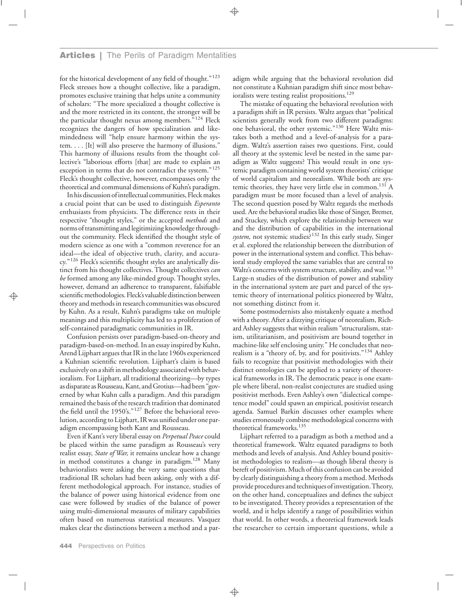## **Articles |** The Perils of Paradigm Mentalities

for the historical development of any field of thought."<sup>123</sup> Fleck stresses how a thought collective, like a paradigm, promotes exclusive training that helps unite a community of scholars: "The more specialized a thought collective is and the more restricted in its content, the stronger will be the particular thought nexus among members.<sup>5124</sup> Fleck recognizes the dangers of how specialization and likemindedness will "help ensure harmony within the system. . . . [It] will also preserve the harmony of illusions." This harmony of illusions results from the thought collective's "laborious efforts [that] are made to explain an exception in terms that do not contradict the system."<sup>125</sup> Fleck's thought collective, however, encompasses only the theoretical and communal dimensions of Kuhn's paradigm.

In his discussion of intellectual communities, Fleck makes a crucial point that can be used to distinguish *Esperanto* enthusiasts from physicists. The difference rests in their respective "thought styles," or the accepted *methods* and norms of transmitting and legitimizing knowledge throughout the community. Fleck identified the thought style of modern science as one with a "common reverence for an ideal—the ideal of objective truth, clarity, and accuracy."<sup>126</sup> Fleck's scientific thought styles are analytically distinct from his thought collectives. Thought collectives *can be* formed among any like-minded group. Thought styles, however, demand an adherence to transparent, falsifiable scientific methodologies. Fleck's valuable distinction between theory and methods in research communities was obscured by Kuhn. As a result, Kuhn's paradigms take on multiple meanings and this multiplicity has led to a proliferation of self-contained paradigmatic communities in IR.

Confusion persists over paradigm-based-on-theory and paradigm-based-on-method. In an essay inspired by Kuhn, Arend Lijphart argues that IR in the late 1960s experienced a Kuhnian scientific revolution. Lijphart's claim is based exclusively on a shift in methodology associated with behavioralism. For Lijphart, all traditional theorizing—by types as disparate as Rousseau, Kant, and Grotius—had been "governed by what Kuhn calls a paradigm. And this paradigm remained the basis of the research tradition that dominated the field until the 1950's."<sup>127</sup> Before the behavioral revolution, according to Lijphart, IR was unified under one paradigm encompassing both Kant and Rousseau.

Even if Kant's very liberal essay on *Perpetual Peace* could be placed within the same paradigm as Rousseau's very realist essay, *State of War,* it remains unclear how a change in method constitutes a change in paradigm.<sup>128</sup> Many behavioralists were asking the very same questions that traditional IR scholars had been asking, only with a different methodological approach. For instance, studies of the balance of power using historical evidence from one case were followed by studies of the balance of power using multi-dimensional measures of military capabilities often based on numerous statistical measures. Vasquez makes clear the distinctions between a method and a paradigm while arguing that the behavioral revolution did not constitute a Kuhnian paradigm shift since most behavioralists were testing realist propositions.<sup>129</sup>

The mistake of equating the behavioral revolution with a paradigm shift in IR persists. Waltz argues that "political scientists generally work from two different paradigms: one behavioral, the other systemic."<sup>130</sup> Here Waltz mistakes both a method and a level-of-analysis for a paradigm. Waltz's assertion raises two questions. First, could all theory at the systemic level be nested in the same paradigm as Waltz suggests? This would result in one systemic paradigm containing world system theorists' critique of world capitalism and neorealism. While both are systemic theories, they have very little else in common.<sup>131</sup> A paradigm must be more focused than a level of analysis. The second question posed by Waltz regards the methods used. Are the behavioral studies like those of Singer, Bremer, and Stuckey, which explore the relationship between war and the distribution of capabilities in the international system, not systemic studies?<sup>132</sup> In this early study, Singer et al. explored the relationship between the distribution of power in the international system and conflict. This behavioral study employed the same variables that are central to Waltz's concerns with system structure, stability, and war.<sup>133</sup> Large-n studies of the distribution of power and stability in the international system are part and parcel of the systemic theory of international politics pioneered by Waltz, not something distinct from it.

Some postmodernists also mistakenly equate a method with a theory. After a dizzying critique of neorealism, Richard Ashley suggests that within realism "structuralism, statism, utilitarianism, and positivism are bound together in machine-like self enclosing unity." He concludes that neorealism is a "theory of, by, and for positivists."<sup>134</sup> Ashley fails to recognize that positivist methodologies with their distinct ontologies can be applied to a variety of theoretical frameworks in IR. The democratic peace is one example where liberal, non-realist conjectures are studied using positivist methods. Even Ashley's own "dialectical competence model" could spawn an empirical, positivist research agenda. Samuel Barkin discusses other examples where studies erroneously combine methodological concerns with theoretical frameworks.135

Lijphart referred to a paradigm as both a method and a theoretical framework. Waltz equated paradigms to both methods and levels of analysis. And Ashley bound positivist methodologies to realism—as though liberal theory is bereft of positivism. Much of this confusion can be avoided by clearly distinguishing a theory from a method. Methods provide procedures and techniques of investigation.Theory, on the other hand, conceptualizes and defines the subject to be investigated. Theory provides a representation of the world, and it helps identify a range of possibilities within that world. In other words, a theoretical framework leads the researcher to certain important questions, while a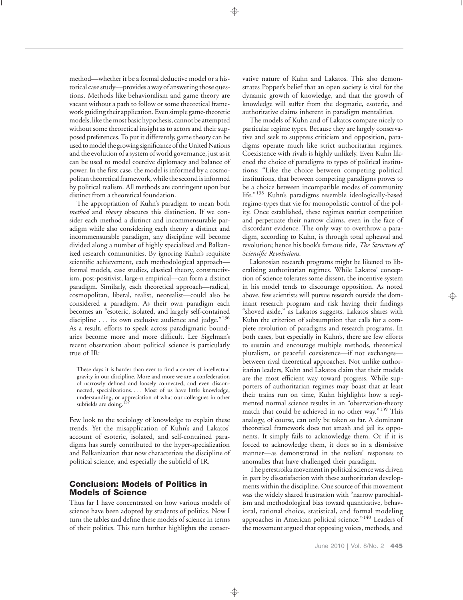method—whether it be a formal deductive model or a historical case study—provides a way of answering those questions. Methods like behavioralism and game theory are vacant without a path to follow or some theoretical framework guiding their application. Even simple game-theoretic models, like the most basic hypothesis, cannot be attempted without some theoretical insight as to actors and their supposed preferences.To put it differently, game theory can be used to model the growing significance of the United Nations and the evolution of a system of world governance, just as it can be used to model coercive diplomacy and balance of power. In the first case, the model is informed by a cosmopolitan theoretical framework, while the second is informed by political realism. All methods are contingent upon but distinct from a theoretical foundation.

The appropriation of Kuhn's paradigm to mean both *method* and *theory* obscures this distinction. If we consider each method a distinct and incommensurable paradigm while also considering each theory a distinct and incommensurable paradigm, any discipline will become divided along a number of highly specialized and Balkanized research communities. By ignoring Kuhn's requisite scientific achievement, each methodological approach formal models, case studies, classical theory, constructivism, post-positivist, large-n empirical—can form a distinct paradigm. Similarly, each theoretical approach—radical, cosmopolitan, liberal, realist, neorealist—could also be considered a paradigm. As their own paradigm each becomes an "esoteric, isolated, and largely self-contained discipline  $\dots$  its own exclusive audience and judge."<sup>136</sup> As a result, efforts to speak across paradigmatic boundaries become more and more difficult. Lee Sigelman's recent observation about political science is particularly true of IR:

These days it is harder than ever to find a center of intellectual gravity in our discipline. More and more we are a confederation of narrowly defined and loosely connected, and even disconnected, specializations. . . . Most of us have little knowledge, understanding, or appreciation of what our colleagues in other subfields are doing.<sup>13</sup>

Few look to the sociology of knowledge to explain these trends. Yet the misapplication of Kuhn's and Lakatos' account of esoteric, isolated, and self-contained paradigms has surely contributed to the hyper-specialization and Balkanization that now characterizes the discipline of political science, and especially the subfield of IR.

### **Conclusion: Models of Politics in Models of Science**

Thus far I have concentrated on how various models of science have been adopted by students of politics. Now I turn the tables and define these models of science in terms of their politics. This turn further highlights the conservative nature of Kuhn and Lakatos. This also demonstrates Popper's belief that an open society is vital for the dynamic growth of knowledge, and that the growth of knowledge will suffer from the dogmatic, esoteric, and authoritative claims inherent in paradigm mentalities.

The models of Kuhn and of Lakatos compare nicely to particular regime types. Because they are largely conservative and seek to suppress criticism and opposition, paradigms operate much like strict authoritarian regimes. Coexistence with rivals is highly unlikely. Even Kuhn likened the choice of paradigms to types of political institutions: "Like the choice between competing political institutions, that between competing paradigms proves to be a choice between incompatible modes of community life."<sup>138</sup> Kuhn's paradigms resemble ideologically-based regime-types that vie for monopolistic control of the polity. Once established, these regimes restrict competition and perpetuate their narrow claims, even in the face of discordant evidence. The only way to overthrow a paradigm, according to Kuhn, is through total upheaval and revolution; hence his book's famous title, *The Structure of Scientific Revolutions.*

Lakatosian research programs might be likened to liberalizing authoritarian regimes. While Lakatos' conception of science tolerates some dissent, the incentive system in his model tends to discourage opposition. As noted above, few scientists will pursue research outside the dominant research program and risk having their findings "shoved aside," as Lakatos suggests. Lakatos shares with Kuhn the criterion of subsumption that calls for a complete revolution of paradigms and research programs. In both cases, but especially in Kuhn's, there are few efforts to sustain and encourage multiple methods, theoretical pluralism, or peaceful coexistence—if not exchanges between rival theoretical approaches. Not unlike authoritarian leaders, Kuhn and Lakatos claim that their models are the most efficient way toward progress. While supporters of authoritarian regimes may boast that at least their trains run on time, Kuhn highlights how a regimented normal science results in an "observation-theory match that could be achieved in no other way."<sup>139</sup> This analogy, of course, can only be taken so far. A dominant theoretical framework does not smash and jail its opponents. It simply fails to acknowledge them. Or if it is forced to acknowledge them, it does so in a dismissive manner—as demonstrated in the realists' responses to anomalies that have challenged their paradigm.

The perestroika movement in political science was driven in part by dissatisfaction with these authoritarian developments within the discipline. One source of this movement was the widely shared frustration with "narrow parochialism and methodological bias toward quantitative, behavioral, rational choice, statistical, and formal modeling approaches in American political science."<sup>140</sup> Leaders of the movement argued that opposing voices, methods, and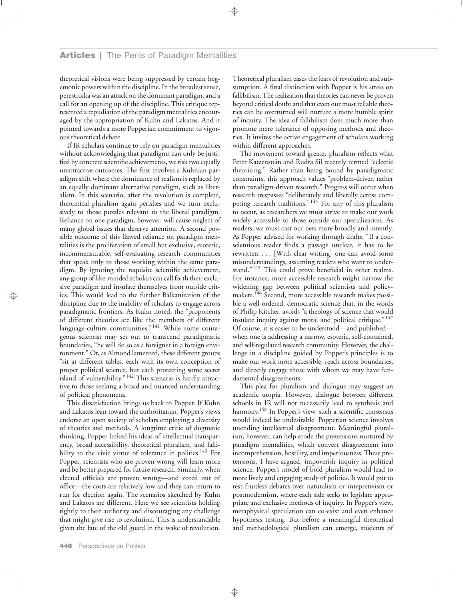theoretical visions were being suppressed by certain hegemonic powers within the discipline. In the broadest sense, perestroika was an attack on the dominant paradigm, and a call for an opening up of the discipline. This critique represented a repudiation of the paradigm mentalities encouraged by the appropriation of Kuhn and Lakatos. And it pointed towards a more Popperian commitment to vigorous theoretical debate.

If IR scholars continue to rely on paradigm mentalities without acknowledging that paradigms can only be justified by concrete scientific achievements, we risk two equally unattractive outcomes. The first involves a Kuhnian paradigm shift where the dominance of realism is replaced by an equally dominant alternative paradigm, such as liberalism. In this scenario, after the revolution is complete, theoretical pluralism again perishes and we turn exclusively to those puzzles relevant to the liberal paradigm. Reliance on one paradigm, however, will cause neglect of many global issues that deserve attention. A second possible outcome of this flawed reliance on paradigm mentalities is the proliferation of small but exclusive, esoteric, incommensurable, self-evaluating research communities that speak only to those working within the same paradigm. By ignoring the requisite scientific achievement, any group of like-minded scholars can call forth their exclusive paradigm and insulate themselves from outside critics. This would lead to the further Balkanization of the discipline due to the inability of scholars to engage across paradigmatic frontiers. As Kuhn noted, the "proponents of different theories are like the members of different language-culture communities."<sup>141</sup> While some courageous scientist may set out to transcend paradigmatic boundaries, "he will do so as a foreigner in a foreign environment." Or, as Almond lamented, these different groups "sit at different tables, each with its own conception of proper political science, but each protecting some secret island of vulnerability."<sup>142</sup> This scenario is hardly attractive to those seeking a broad and nuanced understanding of political phenomena.

This dissatisfaction brings us back to Popper. If Kuhn and Lakatos lean toward the authoritarian, Popper's views endorse an open society of scholars employing a diversity of theories and methods. A longtime critic of dogmatic thinking, Popper linked his ideas of intellectual transparency, broad accessibility, theoretical pluralism, and fallibility to the civic virtue of tolerance in politics.<sup>143</sup> For Popper, scientists who are proven wrong will learn more and be better prepared for future research. Similarly, when elected officials are proven wrong—and voted out of office—the costs are relatively low and they can return to run for election again. The scenarios sketched by Kuhn and Lakatos are different. Here we see scientists holding tightly to their authority and discouraging any challenge that might give rise to revolution. This is understandable given the fate of the old guard in the wake of revolution.

Theoretical pluralism eases the fears of revolution and subsumption. A final distinction with Popper is his stress on fallibilism. The realization that theories can never be proven beyond critical doubt and that even our most reliable theories can be overturned will nurture a more humble spirit of inquiry. The idea of fallibilism does much more than promote mere tolerance of opposing methods and theories. It invites the active engagement of scholars working within different approaches.

The movement toward greater pluralism reflects what Peter Katzenstein and Rudra Sil recently termed "eclectic theorizing." Rather than being bound by paradigmatic constraints, this approach values "problem-driven rather than paradigm-driven research." Progress will occur when research trespasses "deliberately and liberally across competing research traditions."<sup>144</sup> For any of this pluralism to occur, as researchers we must strive to make our work widely accessible to those outside our specialization. As readers, we must cast our nets more broadly and intently. As Popper advised for working through drafts, "If a conscientious reader finds a passage unclear, it has to be rewritten. . . . [With clear writing] one can avoid some misunderstandings, assuming readers who want to understand."<sup>145</sup> This could prove beneficial in other realms. For instance, more accessible research might narrow the widening gap between political scientists and policymakers.146 Second, more accessible research makes possible a well-ordered, democratic science that, in the words of Philip Kitcher, avoids "a theology of science that would insulate inquiry against moral and political critique."<sup>147</sup> Of course, it is easier to be understood—and published when one is addressing a narrow, esoteric, self-contained, and self-regulated research community. However, the challenge in a discipline guided by Popper's principles is to make our work more accessible, reach across boundaries, and directly engage those with whom we may have fundamental disagreements.

This plea for pluralism and dialogue may suggest an academic utopia. However, dialogue between different schools in IR will not necessarily lead to synthesis and harmony.<sup>148</sup> In Popper's view, such a scientific consensus would indeed be undesirable. Popperian science involves unending intellectual disagreement. Meaningful pluralism, however, can help erode the pretensions nurtured by paradigm mentalities, which convert disagreement into incomprehension, hostility, and imperiousness. These pretensions, I have argued, impoverish inquiry in political science. Popper's model of bold pluralism would lead to more lively and engaging study of politics. It would put to rest fruitless debates over naturalism or intepretivism or postmodernism, where each side seeks to legislate appropriate and exclusive methods of inquiry. In Popper's view, metaphysical speculation can co-exist and even enhance hypothesis testing. But before a meaningful theoretical and methodological pluralism can emerge, students of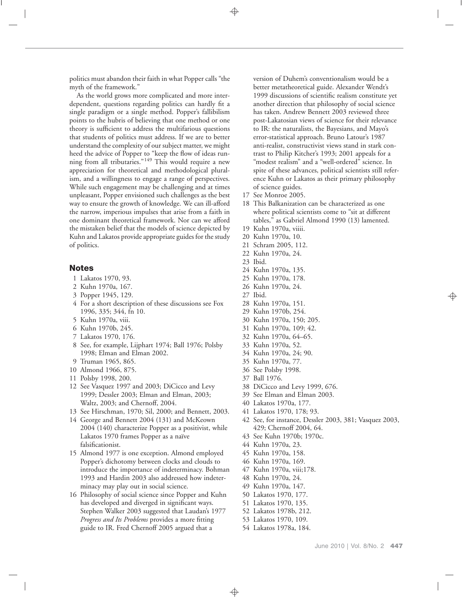politics must abandon their faith in what Popper calls "the myth of the framework."

As the world grows more complicated and more interdependent, questions regarding politics can hardly fit a single paradigm or a single method. Popper's fallibilism points to the hubris of believing that one method or one theory is sufficient to address the multifarious questions that students of politics must address. If we are to better understand the complexity of our subject matter, we might heed the advice of Popper to "keep the flow of ideas running from all tributaries."<sup>149</sup> This would require a new appreciation for theoretical and methodological pluralism, and a willingness to engage a range of perspectives. While such engagement may be challenging and at times unpleasant, Popper envisioned such challenges as the best way to ensure the growth of knowledge. We can ill-afford the narrow, imperious impulses that arise from a faith in one dominant theoretical framework. Nor can we afford the mistaken belief that the models of science depicted by Kuhn and Lakatos provide appropriate guides for the study of politics.

#### **Notes**

- 1 Lakatos 1970, 93.
- 2 Kuhn 1970a, 167.
- 3 Popper 1945, 129.
- 4 For a short description of these discussions see Fox 1996, 335; 344, fn 10.
- 5 Kuhn 1970a, viii.
- 6 Kuhn 1970b, 245.
- 7 Lakatos 1970, 176.
- 8 See, for example, Lijphart 1974; Ball 1976; Polsby 1998; Elman and Elman 2002.
- 9 Truman 1965, 865.
- 10 Almond 1966, 875.
- 11 Polsby 1998, 200.
- 12 See Vasquez 1997 and 2003; DiCicco and Levy 1999; Dessler 2003; Elman and Elman, 2003; Waltz, 2003; and Chernoff, 2004.
- 13 See Hirschman, 1970; Sil, 2000; and Bennett, 2003.
- 14 George and Bennett 2004 (131) and McKeown 2004 (140) characterize Popper as a positivist, while Lakatos 1970 frames Popper as a naïve falsificationist.
- 15 Almond 1977 is one exception. Almond employed Popper's dichotomy between clocks and clouds to introduce the importance of indeterminacy. Bohman 1993 and Hardin 2003 also addressed how indeterminacy may play out in social science.
- 16 Philosophy of social science since Popper and Kuhn has developed and diverged in significant ways. Stephen Walker 2003 suggested that Laudan's 1977 *Progress and Its Problems* provides a more fitting guide to IR. Fred Chernoff 2005 argued that a

version of Duhem's conventionalism would be a better metatheoretical guide. Alexander Wendt's 1999 discussions of scientific realism constitute yet another direction that philosophy of social science has taken. Andrew Bennett 2003 reviewed three post-Lakatosian views of science for their relevance to IR: the naturalists, the Bayesians, and Mayo's error-statistical approach. Bruno Latour's 1987 anti-realist, constructivist views stand in stark contrast to Philip Kitcher's 1993; 2001 appeals for a "modest realism" and a "well-ordered" science. In spite of these advances, political scientists still reference Kuhn or Lakatos as their primary philosophy of science guides.

- 17 See Monroe 2005.
- 18 This Balkanization can be characterized as one where political scientists come to "sit at different tables," as Gabriel Almond 1990 (13) lamented.
- 19 Kuhn 1970a, viiii.
- 20 Kuhn 1970a, 10.
- 21 Schram 2005, 112.
- 22 Kuhn 1970a, 24.
- 23 Ibid.
- 24 Kuhn 1970a, 135.
- 25 Kuhn 1970a, 178.
- 26 Kuhn 1970a, 24.
- 27 Ibid.
- 28 Kuhn 1970a, 151.
- 29 Kuhn 1970b, 254.
- 30 Kuhn 1970a, 150; 205.
- 31 Kuhn 1970a, 109; 42.
- 32 Kuhn 1970a, 64–65.
- 33 Kuhn 1970a, 52.
- 34 Kuhn 1970a, 24; 90.
- 35 Kuhn 1970a, 77.
- 36 See Polsby 1998.
- 37 Ball 1976.
- 38 DiCicco and Levy 1999, 676.
- 39 See Elman and Elman 2003.
- 40 Lakatos 1970a, 177.
- 41 Lakatos 1970, 178; 93.
- 42 See, for instance, Dessler 2003, 381; Vasquez 2003, 429; Chernoff 2004, 64.
- 43 See Kuhn 1970b; 1970c.
- 44 Kuhn 1970a, 23.
- 45 Kuhn 1970a, 158.
- 46 Kuhn 1970a, 169.
- 47 Kuhn 1970a, viii;178.
- 48 Kuhn 1970a, 24.
- 49 Kuhn 1970a, 147.
- 50 Lakatos 1970, 177.
- 51 Lakatos 1970, 135.
- 52 Lakatos 1978b, 212.
- 53 Lakatos 1970, 109.
- 54 Lakatos 1978a, 184.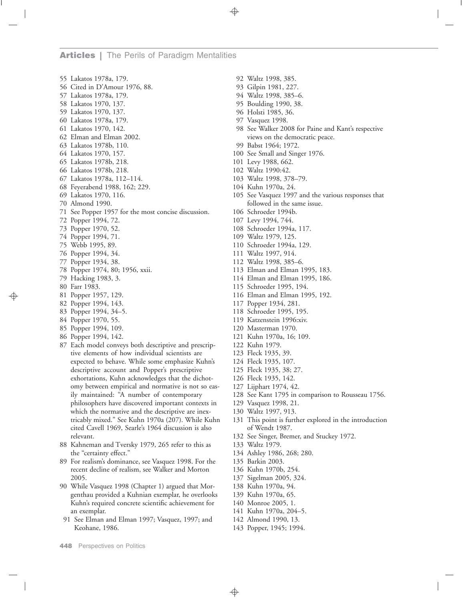- 55 Lakatos 1978a, 179.
- 56 Cited in D'Amour 1976, 88.
- 57 Lakatos 1978a, 179.
- 58 Lakatos 1970, 137.
- 59 Lakatos 1970, 137.
- 60 Lakatos 1978a, 179.
- 61 Lakatos 1970, 142.
- 62 Elman and Elman 2002.
- 63 Lakatos 1978b, 110.
- 64 Lakatos 1970, 157.
- 65 Lakatos 1978b, 218.
- 66 Lakatos 1978b, 218.
- 67 Lakatos 1978a, 112–114.
- 68 Feyerabend 1988, 162; 229.
- 69 Lakatos 1970, 116.
- 70 Almond 1990.
- 71 See Popper 1957 for the most concise discussion.
- 72 Popper 1994, 72.
- 73 Popper 1970, 52.
- 74 Popper 1994, 71.
- 75 Webb 1995, 89.
- 76 Popper 1994, 34.
- 77 Popper 1934, 38.
- 78 Popper 1974, 80; 1956, xxii.
- 79 Hacking 1983, 3.
- 80 Farr 1983.
- 81 Popper 1957, 129.
- 82 Popper 1994, 143.
- 83 Popper 1994, 34–5.
- 84 Popper 1970, 55.
- 85 Popper 1994, 109.
- 86 Popper 1994, 142.
- 87 Each model conveys both descriptive and prescriptive elements of how individual scientists are expected to behave. While some emphasize Kuhn's descriptive account and Popper's prescriptive exhortations, Kuhn acknowledges that the dichotomy between empirical and normative is not so easily maintained: "A number of contemporary philosophers have discovered important contexts in which the normative and the descriptive are inextricably mixed." See Kuhn 1970a (207). While Kuhn cited Cavell 1969, Searle's 1964 discussion is also relevant.
- 88 Kahneman and Tversky 1979, 265 refer to this as the "certainty effect."
- 89 For realism's dominance, see Vasquez 1998. For the recent decline of realism, see Walker and Morton 2005.
- 90 While Vasquez 1998 (Chapter 1) argued that Morgenthau provided a Kuhnian exemplar, he overlooks Kuhn's required concrete scientific achievement for an exemplar.
- 91 See Elman and Elman 1997; Vasquez, 1997; and Keohane, 1986.
- 92 Waltz 1998, 385.
- 93 Gilpin 1981, 227.
- 94 Waltz 1998, 385–6.
- 95 Boulding 1990, 38.
- 96 Holsti 1985, 36.
- 97 Vasquez 1998.
- 98 See Walker 2008 for Paine and Kant's respective views on the democratic peace.
- 99 Babst 1964; 1972.
- 100 See Small and Singer 1976.
- 101 Levy 1988, 662.
- 102 Waltz 1990:42.
- 103 Waltz 1998, 378–79.
- 104 Kuhn 1970a, 24.
- 105 See Vasquez 1997 and the various responses that followed in the same issue.
- 106 Schroeder 1994b.
- 107 Levy 1994, 744.
- 108 Schroeder 1994a, 117.
- 109 Waltz 1979, 125.
- 110 Schroeder 1994a, 129.
- 111 Waltz 1997, 914.
- 112 Waltz 1998, 385–6.
- 113 Elman and Elman 1995, 183.
- 114 Elman and Elman 1995, 186.
- 115 Schroeder 1995, 194.
- 116 Elman and Elman 1995, 192.
- 117 Popper 1934, 281.
- 118 Schroeder 1995, 195.
- 119 Katzenstein 1996:xiv.
- 120 Masterman 1970.
- 121 Kuhn 1970a, 16; 109.
- 122 Kuhn 1979.
- 123 Fleck 1935, 39.
- 124 Fleck 1935, 107.
- 125 Fleck 1935, 38; 27.
- 126 Fleck 1935, 142.
- 127 Lijphart 1974, 42.
- 128 See Kant 1795 in comparison to Rousseau 1756.
- 129 Vasquez 1998, 21.
- 130 Waltz 1997, 913.
- 131 This point is further explored in the introduction of Wendt 1987.
- 132 See Singer, Bremer, and Stuckey 1972.
- 133 Waltz 1979.
- 134 Ashley 1986, 268; 280.
- 135 Barkin 2003.
- 136 Kuhn 1970b, 254.
- 137 Sigelman 2005, 324.
- 138 Kuhn 1970a, 94.
- 139 Kuhn 1970a, 65.
- 140 Monroe 2005, 1.
- 141 Kuhn 1970a, 204–5.
- 142 Almond 1990, 13.
- 143 Popper, 1945; 1994.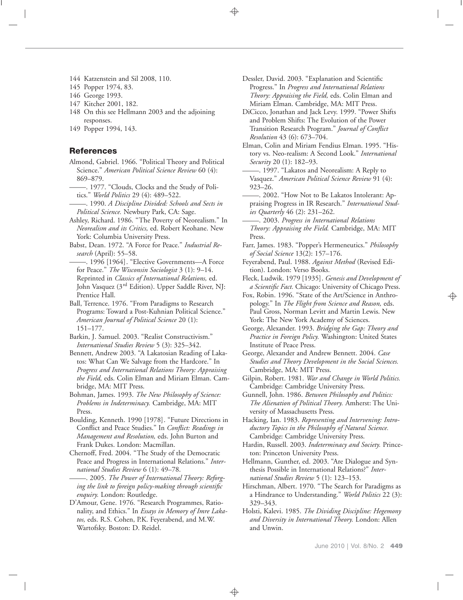- 144 Katzenstein and Sil 2008, 110.
- 145 Popper 1974, 83.
- 146 George 1993.
- 147 Kitcher 2001, 182.
- 148 On this see Hellmann 2003 and the adjoining responses.
- 149 Popper 1994, 143.

#### **References**

- Almond, Gabriel. 1966. "Political Theory and Political Science." *American Political Science Review* 60 (4):<br>
869–879.<br> **...** 1977. "Clouds, Clocks and the Study of Poli-<br>
tics." *World Politics* 29 (4): 489–522
- 869–879.<br>— 1977. "Clouds, Clocks and the Study of Politics." *World Politics* 29 (4): 489–522.<br>— 1990. *A Discipline Divided: Schools and Sects in*
- *Political Science.* Newbury Park, CA: Sage.
- Ashley, Richard. 1986. "The Poverty of Neorealism." In *Neorealism and its Critics,* ed. Robert Keohane. New York: Columbia University Press.
- Babst, Dean. 1972. "A Force for Peace." *Industrial Re-*<br> *search* (April): 55–58.<br> **...** 1996 [1964]. "Elective Governments—A Force<br>
for Peace." *The Wisconsin Sociologist* 3 (1): 9–14
- for Peace." *The Wisconsin Sociologist* 3 (1): 9–14. Reprinted in *Classics of International Relations,* ed. John Vasquez (3<sup>rd</sup> Edition). Upper Saddle River, NJ: Prentice Hall.
- Ball, Terrence. 1976. "From Paradigms to Research Programs: Toward a Post-Kuhnian Political Science." *American Journal of Political Science* 20 (1): 151–177.
- Barkin, J. Samuel. 2003. "Realist Constructivism." *International Studies Review* 5 (3): 325–342.
- Bennett, Andrew 2003. "A Lakatosian Reading of Lakatos: What Can We Salvage from the Hardcore." In *Progress and International Relations Theory: Appraising the Field,* eds. Colin Elman and Miriam Elman. Cambridge, MA: MIT Press.
- Bohman, James. 1993. *The New Philosophy of Science: Problems in Indeterminacy.* Cambridge, MA: MIT Press.
- Boulding, Kenneth. 1990 [1978]. "Future Directions in Conflict and Peace Studies." In *Conflict: Readings in Management and Resolution,* eds. John Burton and Frank Dukes. London: Macmillan.
- Chernoff, Fred. 2004. "The Study of the Democratic Peace and Progress in International Relations." *Inter-*
- *national Studies Review* 6 (1): 49–78. \_. 2005. *The Power of International Theory: Reforging the link to foreign policy-making through scientific enquiry.* London: Routledge.
- D'Amour, Gene. 1976. "Research Programmes, Rationality, and Ethics." In *Essays in Memory of Imre Lakatos,* eds. R.S. Cohen, P.K. Feyerabend, and M.W. Wartofsky. Boston: D. Reidel.
- Dessler, David. 2003. "Explanation and Scientific Progress." In *Progress and International Relations Theory: Appraising the Field,* eds. Colin Elman and Miriam Elman. Cambridge, MA: MIT Press.
- DiCicco, Jonathan and Jack Levy. 1999. "Power Shifts and Problem Shifts: The Evolution of the Power Transition Research Program." *Journal of Conflict Resolution* 43 (6): 673–704.
- Elman, Colin and Miriam Fendius Elman. 1995. "History vs. Neo-realism: A Second Look." *International Security* 20 (1): 182–93. \_. 1997. "Lakatos and Neorealism: A Reply to
- Vasquez." *American Political Science Review* 91 (4):<br>
923–26.<br>
2002. "How Not to Be Lakatos Intolerant: Ap-<br>
praising Progress in IR Research " *International Studen*
- praising Progress in IR Research." *International Stud-ies Quarterly* 46 (2): 231–262. \_. 2003. *Progress in International Relations*
- *Theory: Appraising the Field.* Cambridge, MA: MIT Press.
- Farr, James. 1983. "Popper's Hermeneutics." *Philosophy of Social Science* 13(2): 157–176.
- Feyerabend, Paul. 1988. *Against Method* (Revised Edition). London: Verso Books.
- Fleck, Ludwik. 1979 [1935]. *Genesis and Development of a Scientific Fact.* Chicago: University of Chicago Press.
- Fox, Robin. 1996. "State of the Art/Science in Anthropology." In *The Flight from Science and Reason,* eds. Paul Gross, Norman Levitt and Martin Lewis. New York: The New York Academy of Sciences.
- George, Alexander. 1993. *Bridging the Gap: Theory and Practice in Foreign Policy.* Washington: United States Institute of Peace Press.
- George, Alexander and Andrew Bennett. 2004. *Case Studies and Theory Development in the Social Sciences.* Cambridge, MA: MIT Press.
- Gilpin, Robert. 1981. *War and Change in World Politics.* Cambridge: Cambridge University Press.
- Gunnell, John. 1986. *Between Philosophy and Politics: The Alienation of Political Theory.* Amherst: The University of Massachusetts Press.
- Hacking, Ian. 1983. *Representing and Intervening: Introductory Topics in the Philosophy of Natural Science.* Cambridge: Cambridge University Press.
- Hardin, Russell. 2003. *Indeterminacy and Society.* Princeton: Princeton University Press.
- Hellmann, Gunther, ed. 2003. "Are Dialogue and Synthesis Possible in International Relations?" *International Studies Review* 5 (1): 123–153.
- Hirschman, Albert. 1970. "The Search for Paradigms as a Hindrance to Understanding." *World Politics* 22 (3): 329–343.
- Holsti, Kalevi. 1985. *The Dividing Discipline: Hegemony and Diversity in International Theory.* London: Allen and Unwin.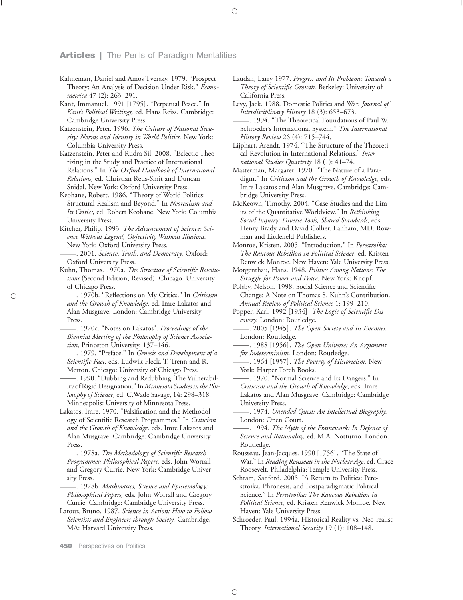Kahneman, Daniel and Amos Tversky. 1979. "Prospect Theory: An Analysis of Decision Under Risk." *Econometrica* 47 (2): 263–291.

Kant, Immanuel. 1991 [1795]. "Perpetual Peace." In *Kant's Political Writings,* ed. Hans Reiss. Cambridge: Cambridge University Press.

Katzenstein, Peter. 1996. *The Culture of National Security: Norms and Identity in World Politics.* New York: Columbia University Press.

Katzenstein, Peter and Rudra Sil. 2008. "Eclectic Theorizing in the Study and Practice of International Relations." In *The Oxford Handbook of International Relations,* ed. Christian Reus-Smit and Duncan Snidal. New York: Oxford University Press.

Keohane, Robert. 1986. "Theory of World Politics: Structural Realism and Beyond." In *Neorealism and Its Critics*, ed. Robert Keohane. New York: Columbia University Press.

Kitcher, Philip. 1993. *The Advancement of Science: Science Without Legend, Objectivity Without Illusions.*<br>
New York: Oxford University Press.<br>
2001. *Science, Truth, and Democracy*. Oxford:<br>
Oxford University Press.

Oxford University Press.

Kuhn, Thomas. 1970a. *The Structure of Scientific Revolutions* (Second Edition, Revised). Chicago: University<br>tions (Second Edition, Revised). Chicago: University<br>of Chicago Press.<br>and the *Growth of Knowledge* ed Jmre Lakatos and

*and the Growth of Knowledge,* ed. Imre Lakatos and Alan Musgrave. London: Cambridge University

Press.<br>——. 1970c. "Notes on Lakatos". *Proceedings of the Biennial Meeting of the Philosophy of Science Association,* Princeton University. 137–146. \_. 1979. "Preface." In *Genesis and Development of a*

*Scientific Fact,* eds. Ludwik Fleck, T. Trenn and R. Merton. Chicago: University of Chicago Press.<br>— 1990. "Dubbing and Redubbing: The Vulnerabil-

ity of Rigid Designation." In *Minnesota Studies in the Philosophy of Science,* ed. C.Wade Savage, 14: 298–318. Minneapolis: University of Minnesota Press.

Lakatos, Imre. 1970. "Falsification and the Methodology of Scientific Research Programmes." In *Criticism and the Growth of Knowledge,* eds. Imre Lakatos and Alan Musgrave. Cambridge: Cambridge University Press. \_. 1978a. *The Methodolog y of Scientific Research*

*Programmes: Philosophical Papers,* eds. John Worrall and Gregory Currie. New York: Cambridge University Press.<br><u>——,</u> 1978b. *Mathmatics, Science and Epistemology:* 

*Philosophical Papers,* eds. John Worrall and Gregory Currie. Cambridge: Cambridge University Press.

Latour, Bruno. 1987. *Science in Action: How to Follow Scientists and Engineers through Society.* Cambridge, MA: Harvard University Press.

Laudan, Larry 1977. *Progress and Its Problems: Towards a Theory of Scientific Growth.* Berkeley: University of California Press.

Levy, Jack. 1988. Domestic Politics and War. *Journal of Interdisciplinary History* 18 (3): 653–673. \_. 1994. "The Theoretical Foundations of Paul W.

Schroeder's International System." *The International History Review* 26 (4): 715–744.

Lijphart, Arendt. 1974. "The Structure of the Theoretical Revolution in International Relations." *International Studies Quarterly* 18 (1): 41–74.

Masterman, Margaret. 1970. "The Nature of a Paradigm." In *Criticism and the Growth of Knowledge,* eds. Imre Lakatos and Alan Musgrave. Cambridge: Cambridge University Press.

McKeown, Timothy. 2004. "Case Studies and the Limits of the Quantitative Worldview." In *Rethinking Social Inquiry: Diverse Tools, Shared Standards,* eds. Henry Brady and David Collier. Lanham, MD: Rowman and Littlefield Publishers.

Monroe, Kristen. 2005. "Introduction." In *Perestroika: The Raucous Rebellion in Political Science,* ed. Kristen Renwick Monroe. New Haven: Yale University Press.

Morgenthau, Hans. 1948. *Politics Among Nations: The Struggle for Power and Peace.* New York: Knopf.

Polsby, Nelson. 1998. Social Science and Scientific Change: A Note on Thomas S. Kuhn's Contribution. *Annual Review of Political Science* 1: 199–210.

Popper, Karl. 1992 [1934]. *The Logic of Scientific Dis-covery.* London: Routledge. \_. 2005 [1945]. *The Open Society and Its Enemies.*

London: Routledge. \_. 1988 [1956]. *The Open Universe: An Argument*

*for Indeterminism.* London: Routledge.<br>*for Indeterminism.* London: Routledge.<br>\_\_\_\_\_\_. 1964 [1957]. *The Poverty of Historicism.* New

for Indeterminism. London: Routledge.<br>——. 1964 [1957]. *The Poverty of Historicism*. New<br>York: Harper Torch Books.<br>——. 1970. "Normal Science and Its Dangers." In

*Criticism and the Growth of Knowledge,* eds. Imre Lakatos and Alan Musgrave. Cambridge: Cambridge University Press. \_. 1974. *Unended Quest: An Intellectual Biography.*

University Press.<br>——. 1974. *Unended Quest: An Intellectual Biography.*<br>London: Open Court.<br>——. 1994. *The Myth of the Framework: In Defence of* 

*Science and Rationality,* ed. M.A. Notturno. London: Routledge.

Rousseau, Jean-Jacques. 1990 [1756]. "The State of War." In *Reading Rousseau in the Nuclear Age,* ed. Grace Roosevelt. Philadelphia: Temple University Press.

Schram, Sanford. 2005. "A Return to Politics: Perestroika, Phronesis, and Postparadigmatic Political Science." In *Perestroika: The Raucous Rebellion in Political Science,* ed. Kristen Renwick Monroe. New Haven: Yale University Press.

Schroeder, Paul. 1994a. Historical Reality vs. Neo-realist Theory. *International Security* 19 (1): 108–148.